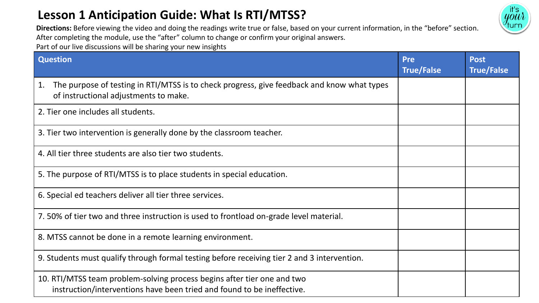## **Lesson 1 Anticipation Guide: What Is RTI/MTSS?**



**Directions:** Before viewing the video and doing the readings write true or false, based on your current information, in the "before" section. After completing the module, use the "after" column to change or confirm your original answers. Part of our live discussions will be sharing your new insights

| <b>Question</b>                                                                                                                                   | <b>Pre</b><br><b>True/False</b> | <b>Post</b><br><b>True/False</b> |
|---------------------------------------------------------------------------------------------------------------------------------------------------|---------------------------------|----------------------------------|
| The purpose of testing in RTI/MTSS is to check progress, give feedback and know what types<br>1.<br>of instructional adjustments to make.         |                                 |                                  |
| 2. Tier one includes all students.                                                                                                                |                                 |                                  |
| 3. Tier two intervention is generally done by the classroom teacher.                                                                              |                                 |                                  |
| 4. All tier three students are also tier two students.                                                                                            |                                 |                                  |
| 5. The purpose of RTI/MTSS is to place students in special education.                                                                             |                                 |                                  |
| 6. Special ed teachers deliver all tier three services.                                                                                           |                                 |                                  |
| 7.50% of tier two and three instruction is used to frontload on-grade level material.                                                             |                                 |                                  |
| 8. MTSS cannot be done in a remote learning environment.                                                                                          |                                 |                                  |
| 9. Students must qualify through formal testing before receiving tier 2 and 3 intervention.                                                       |                                 |                                  |
| 10. RTI/MTSS team problem-solving process begins after tier one and two<br>instruction/interventions have been tried and found to be ineffective. |                                 |                                  |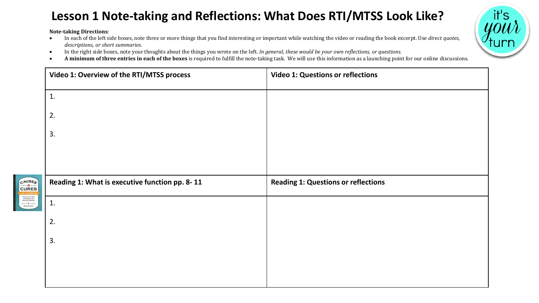## **Lesson 1 Note-taking and Reflections: What Does RTI/MTSS Look Like?**

**Note-taking Directions**:

- In each of the left side boxes, note three or more things that you find interesting or important while watching the video or reading the book excerpt. Use *direct quotes, descriptions, or short summaries.*
- In the right side boxes, note your thoughts about the things you wrote on the left. *In general, these would be your own reflections, or questions.*
- **A minimum of three entries in each of the boxes** is required to fulfill the note-taking task. We will use this information as a launching point for our online discussions.

|                                                                                                                                                                                                                              | Video 1: Overview of the RTI/MTSS process      | <b>Video 1: Questions or reflections</b>   |
|------------------------------------------------------------------------------------------------------------------------------------------------------------------------------------------------------------------------------|------------------------------------------------|--------------------------------------------|
|                                                                                                                                                                                                                              | 1.                                             |                                            |
|                                                                                                                                                                                                                              | 2.                                             |                                            |
|                                                                                                                                                                                                                              | 3.                                             |                                            |
|                                                                                                                                                                                                                              |                                                |                                            |
|                                                                                                                                                                                                                              | Reading 1: What is executive function pp. 8-11 | <b>Reading 1: Questions or reflections</b> |
| CAUSES                                                                                                                                                                                                                       |                                                |                                            |
| <b>Getting to the Root<br/>of Academic and<br/>Behavior Problems</b><br>$\begin{tabular}{c} \hline \textbf{w} & \textbf{w} & \textbf{w} \\ \hline \textbf{M} & \textbf{M} & \textbf{M} & \textbf{M} \\ \hline \end{tabular}$ | 1.                                             |                                            |
|                                                                                                                                                                                                                              | 2.                                             |                                            |
|                                                                                                                                                                                                                              | 3.                                             |                                            |
|                                                                                                                                                                                                                              |                                                |                                            |
|                                                                                                                                                                                                                              |                                                |                                            |